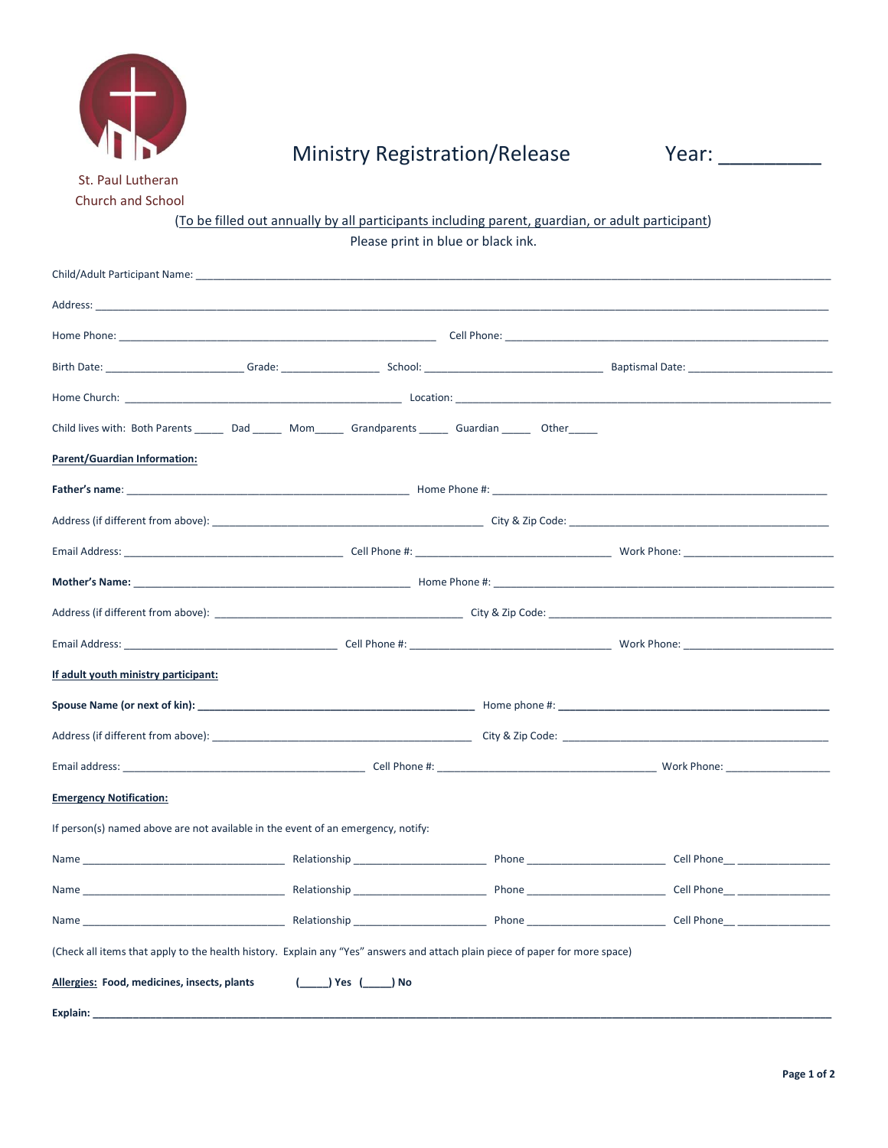

# Ministry Registration/Release Year: \_\_\_\_\_\_\_\_\_

 St. Paul Lutheran Church and School

## (To be filled out annually by all participants including parent, guardian, or adult participant) Please print in blue or black ink.

| Child/Adult Participant Name: _______________                                                                                                                                                                                       |                |  |  |  |
|-------------------------------------------------------------------------------------------------------------------------------------------------------------------------------------------------------------------------------------|----------------|--|--|--|
| Address: the contract of the contract of the contract of the contract of the contract of the contract of the contract of the contract of the contract of the contract of the contract of the contract of the contract of the c      |                |  |  |  |
| Home Phone: Cell Phone: Cell Phone: Cell Phone: Cell Phone: Cell Phone: Cell Phone: Cell Phone: Cell Phone: Cell Phone: Cell Phone: Cell Phone: Cell Phone: Cell Phone: Cell Phone: Cell Phone: Cell Phone: Cell Phone: Cell P      |                |  |  |  |
|                                                                                                                                                                                                                                     |                |  |  |  |
|                                                                                                                                                                                                                                     |                |  |  |  |
| Child lives with: Both Parents ________ Dad ________ Mom_______ Grandparents _______ Guardian ________ Other _______                                                                                                                |                |  |  |  |
| <b>Parent/Guardian Information:</b>                                                                                                                                                                                                 |                |  |  |  |
| <b>Father's name:</b> The Communication of the Communication of the Communication of the Communication of the Communication of the Communication of the Communication of the Communication of the Communication of the Communicatio |                |  |  |  |
|                                                                                                                                                                                                                                     |                |  |  |  |
|                                                                                                                                                                                                                                     |                |  |  |  |
|                                                                                                                                                                                                                                     |                |  |  |  |
|                                                                                                                                                                                                                                     |                |  |  |  |
|                                                                                                                                                                                                                                     |                |  |  |  |
| If adult youth ministry participant:                                                                                                                                                                                                |                |  |  |  |
|                                                                                                                                                                                                                                     |                |  |  |  |
|                                                                                                                                                                                                                                     |                |  |  |  |
|                                                                                                                                                                                                                                     |                |  |  |  |
| <b>Emergency Notification:</b>                                                                                                                                                                                                      |                |  |  |  |
| If person(s) named above are not available in the event of an emergency, notify:                                                                                                                                                    |                |  |  |  |
|                                                                                                                                                                                                                                     |                |  |  |  |
|                                                                                                                                                                                                                                     |                |  |  |  |
|                                                                                                                                                                                                                                     |                |  |  |  |
| (Check all items that apply to the health history. Explain any "Yes" answers and attach plain piece of paper for more space)                                                                                                        |                |  |  |  |
| Allergies: Food, medicines, insects, plants                                                                                                                                                                                         | ( ) Yes ( ) No |  |  |  |
| Explain:                                                                                                                                                                                                                            |                |  |  |  |